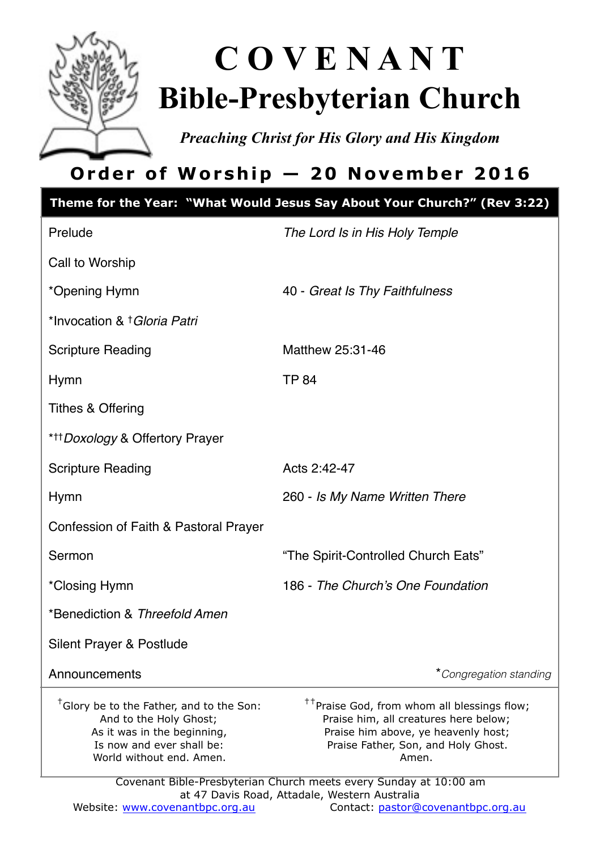

# **C O V E N A N T Bible-Presbyterian Church**

*Preaching Christ for His Glory and His Kingdom* 

# **Order of Worship — 20 November 2016**

| Prelude<br>Call to Worship<br>*Opening Hymn<br>*Invocation & † Gloria Patri                                                                                                                                                                 | The Lord Is in His Holy Temple<br>40 - Great Is Thy Faithfulness                                                                                                                        |
|---------------------------------------------------------------------------------------------------------------------------------------------------------------------------------------------------------------------------------------------|-----------------------------------------------------------------------------------------------------------------------------------------------------------------------------------------|
|                                                                                                                                                                                                                                             |                                                                                                                                                                                         |
|                                                                                                                                                                                                                                             |                                                                                                                                                                                         |
|                                                                                                                                                                                                                                             |                                                                                                                                                                                         |
|                                                                                                                                                                                                                                             |                                                                                                                                                                                         |
| <b>Scripture Reading</b>                                                                                                                                                                                                                    | Matthew 25:31-46                                                                                                                                                                        |
| <b>TP 84</b><br>Hymn                                                                                                                                                                                                                        |                                                                                                                                                                                         |
| <b>Tithes &amp; Offering</b>                                                                                                                                                                                                                |                                                                                                                                                                                         |
| * <sup>++</sup> Doxology & Offertory Prayer                                                                                                                                                                                                 |                                                                                                                                                                                         |
| <b>Scripture Reading</b>                                                                                                                                                                                                                    | Acts 2:42-47                                                                                                                                                                            |
| <b>Hymn</b>                                                                                                                                                                                                                                 | 260 - Is My Name Written There                                                                                                                                                          |
| Confession of Faith & Pastoral Prayer                                                                                                                                                                                                       |                                                                                                                                                                                         |
| Sermon                                                                                                                                                                                                                                      | "The Spirit-Controlled Church Eats"                                                                                                                                                     |
| *Closing Hymn                                                                                                                                                                                                                               | 186 - The Church's One Foundation                                                                                                                                                       |
| *Benediction & Threefold Amen                                                                                                                                                                                                               |                                                                                                                                                                                         |
| Silent Prayer & Postlude                                                                                                                                                                                                                    |                                                                                                                                                                                         |
| Announcements                                                                                                                                                                                                                               | *Congregation standing                                                                                                                                                                  |
| <sup>†</sup> Glory be to the Father, and to the Son:<br>And to the Holy Ghost;<br>As it was in the beginning,<br>Is now and ever shall be:<br>World without end. Amen.<br>Covenant Bible-Presbyterian Church meets every Sunday at 10:00 am | <sup>††</sup> Praise God, from whom all blessings flow;<br>Praise him, all creatures here below;<br>Praise him above, ye heavenly host;<br>Praise Father, Son, and Holy Ghost.<br>Amen. |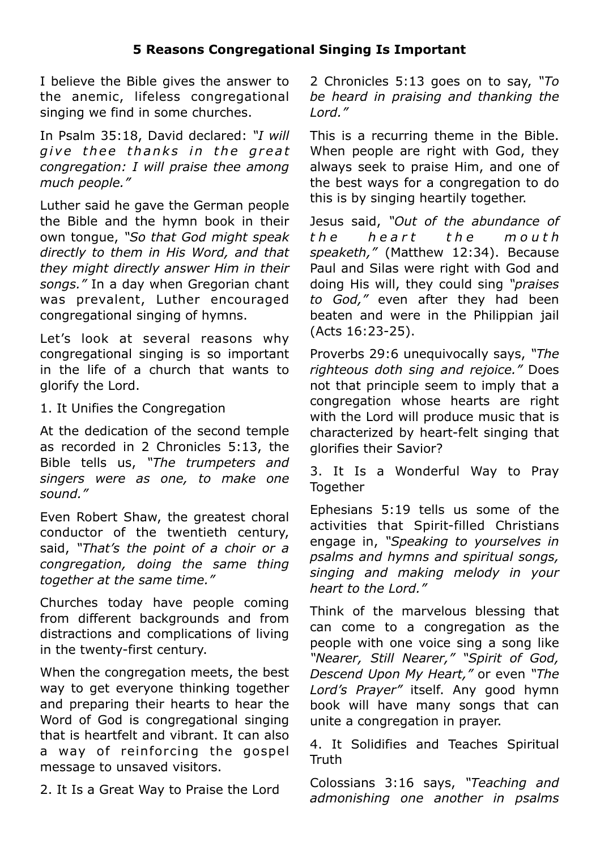#### **5 Reasons Congregational Singing Is Important**

I believe the Bible gives the answer to the anemic, lifeless congregational singing we find in some churches.

In Psalm 35:18, David declared: *"I will give thee thanks in the great congregation: I will praise thee among much people."* 

Luther said he gave the German people the Bible and the hymn book in their own tongue, *"So that God might speak directly to them in His Word, and that they might directly answer Him in their songs."* In a day when Gregorian chant was prevalent, Luther encouraged congregational singing of hymns.

Let's look at several reasons why congregational singing is so important in the life of a church that wants to glorify the Lord.

1. It Unifies the Congregation

At the dedication of the second temple as recorded in 2 Chronicles 5:13, the Bible tells us, *"The trumpeters and singers were as one, to make one sound."* 

Even Robert Shaw, the greatest choral conductor of the twentieth century, said, *"That's the point of a choir or a congregation, doing the same thing together at the same time."*

Churches today have people coming from different backgrounds and from distractions and complications of living in the twenty-first century.

When the congregation meets, the best way to get everyone thinking together and preparing their hearts to hear the Word of God is congregational singing that is heartfelt and vibrant. It can also a way of reinforcing the gospel message to unsaved visitors.

2. It Is a Great Way to Praise the Lord

2 Chronicles 5:13 goes on to say, *"To be heard in praising and thanking the Lord."*

This is a recurring theme in the Bible. When people are right with God, they always seek to praise Him, and one of the best ways for a congregation to do this is by singing heartily together.

Jesus said, *"Out of the abundance of t h e h e a r t t h e m o u t h speaketh,"* (Matthew 12:34). Because Paul and Silas were right with God and doing His will, they could sing *"praises to God,"* even after they had been beaten and were in the Philippian jail (Acts 16:23-25).

Proverbs 29:6 unequivocally says, *"The righteous doth sing and rejoice."* Does not that principle seem to imply that a congregation whose hearts are right with the Lord will produce music that is characterized by heart-felt singing that glorifies their Savior?

3. It Is a Wonderful Way to Pray **Together** 

Ephesians 5:19 tells us some of the activities that Spirit-filled Christians engage in, *"Speaking to yourselves in psalms and hymns and spiritual songs, singing and making melody in your heart to the Lord."*

Think of the marvelous blessing that can come to a congregation as the people with one voice sing a song like *"Nearer, Still Nearer," "Spirit of God, Descend Upon My Heart,"* or even *"The Lord's Prayer"* itself. Any good hymn book will have many songs that can unite a congregation in prayer.

4. It Solidifies and Teaches Spiritual **Truth** 

Colossians 3:16 says, *"Teaching and admonishing one another in psalms*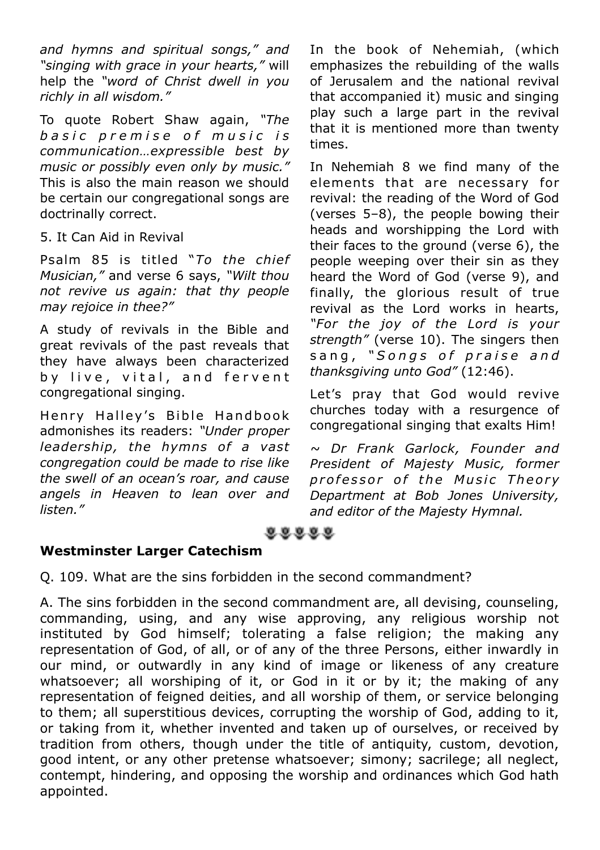*and hymns and spiritual songs," and "singing with grace in your hearts,"* will help the *"word of Christ dwell in you richly in all wisdom."*

To quote Robert Shaw again, *"The b a s i c p r e m i s e o f m u s i c i s communication…expressible best by music or possibly even only by music."* This is also the main reason we should be certain our congregational songs are doctrinally correct.

#### 5. It Can Aid in Revival

Psalm 85 is titled "*To the chief Musician,"* and verse 6 says, *"Wilt thou not revive us again: that thy people may rejoice in thee?"*

A study of revivals in the Bible and great revivals of the past reveals that they have always been characterized by live, vital, and fervent congregational singing.

Henry Halley's Bible Handbook admonishes its readers: *"Under proper leadership, the hymns of a vast congregation could be made to rise like the swell of an ocean's roar, and cause angels in Heaven to lean over and listen."*

In the book of Nehemiah, (which emphasizes the rebuilding of the walls of Jerusalem and the national revival that accompanied it) music and singing play such a large part in the revival that it is mentioned more than twenty times.

In Nehemiah 8 we find many of the elements that are necessary for revival: the reading of the Word of God (verses 5–8), the people bowing their heads and worshipping the Lord with their faces to the ground (verse 6), the people weeping over their sin as they heard the Word of God (verse 9), and finally, the glorious result of true revival as the Lord works in hearts, *"For the joy of the Lord is your strength"* (verse 10). The singers then sang, "Songs of praise and *thanksgiving unto God"* (12:46).

Let's pray that God would revive churches today with a resurgence of congregational singing that exalts Him!

*~ Dr Frank Garlock, Founder and President of Majesty Music, former*  professor of the Music Theory *Department at Bob Jones University, and editor of the Majesty Hymnal.*

 $0.0.0.0.0$ 

#### **Westminster Larger Catechism**

Q. 109. What are the sins forbidden in the second commandment?

A. The sins forbidden in the second commandment are, all devising, counseling, commanding, using, and any wise approving, any religious worship not instituted by God himself; tolerating a false religion; the making any representation of God, of all, or of any of the three Persons, either inwardly in our mind, or outwardly in any kind of image or likeness of any creature whatsoever; all worshiping of it, or God in it or by it; the making of any representation of feigned deities, and all worship of them, or service belonging to them; all superstitious devices, corrupting the worship of God, adding to it, or taking from it, whether invented and taken up of ourselves, or received by tradition from others, though under the title of antiquity, custom, devotion, good intent, or any other pretense whatsoever; simony; sacrilege; all neglect, contempt, hindering, and opposing the worship and ordinances which God hath appointed.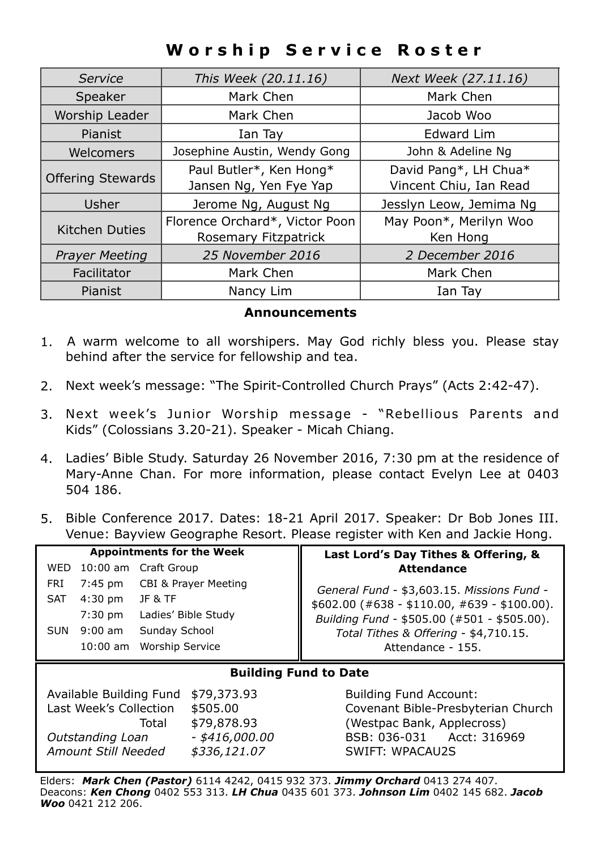# **Worship Service Roster**

| Service                  | This Week (20.11.16)                                   | Next Week (27.11.16)                            |  |
|--------------------------|--------------------------------------------------------|-------------------------------------------------|--|
| Mark Chen<br>Speaker     |                                                        | Mark Chen                                       |  |
| Worship Leader           | Mark Chen                                              | Jacob Woo                                       |  |
| Pianist                  | Ian Tay                                                | Edward Lim                                      |  |
| Welcomers                | Josephine Austin, Wendy Gong                           | John & Adeline Ng                               |  |
| <b>Offering Stewards</b> | Paul Butler*, Ken Hong*<br>Jansen Ng, Yen Fye Yap      | David Pang*, LH Chua*<br>Vincent Chiu, Ian Read |  |
| Usher                    | Jerome Ng, August Ng                                   | Jesslyn Leow, Jemima Ng                         |  |
| <b>Kitchen Duties</b>    | Florence Orchard*, Victor Poon<br>Rosemary Fitzpatrick | May Poon*, Merilyn Woo<br>Ken Hong              |  |
| <b>Prayer Meeting</b>    | 25 November 2016                                       | 2 December 2016                                 |  |
| Facilitator              | Mark Chen                                              | Mark Chen                                       |  |
| Pianist                  | Nancy Lim                                              | Ian Tay                                         |  |

#### **Announcements**

- 1. A warm welcome to all worshipers. May God richly bless you. Please stay behind after the service for fellowship and tea.
- 2. Next week's message: "The Spirit-Controlled Church Prays" (Acts 2:42-47).
- 3. Next week's Junior Worship message "Rebellious Parents and Kids" (Colossians 3.20-21). Speaker - Micah Chiang.
- 4. Ladies' Bible Study. Saturday 26 November 2016, 7:30 pm at the residence of Mary-Anne Chan. For more information, please contact Evelyn Lee at 0403 504 186.
- 5. Bible Conference 2017. Dates: 18-21 April 2017. Speaker: Dr Bob Jones III. Venue: Bayview Geographe Resort. Please register with Ken and Jackie Hong.

|            |                         |                                 | <b>Appointments for the Week</b> | Last Lord's Day Tithes & Offering, &          |
|------------|-------------------------|---------------------------------|----------------------------------|-----------------------------------------------|
| WED        | 10:00 am Craft Group    |                                 |                                  | <b>Attendance</b>                             |
| FRI        | 7:45 pm                 | <b>CBI &amp; Prayer Meeting</b> |                                  | General Fund - \$3,603.15. Missions Fund -    |
| <b>SAT</b> | $4:30$ pm               | JF & TF                         |                                  | $$602.00$ (#638 - \$110.00, #639 - \$100.00). |
|            | $7:30$ pm               |                                 | Ladies' Bible Study              | Building Fund - \$505.00 (#501 - \$505.00).   |
| SUN        | $9:00$ am               | Sunday School                   |                                  | Total Tithes & Offering - \$4,710.15.         |
|            | 10:00 am                | <b>Worship Service</b>          |                                  | Attendance - 155.                             |
|            |                         |                                 |                                  |                                               |
|            |                         |                                 |                                  | <b>Building Fund to Date</b>                  |
|            | Available Building Fund |                                 | \$79,373.93                      | <b>Building Fund Account:</b>                 |
|            | Last Week's Collection  |                                 | \$505.00                         | Covenant Bible-Presbyterian Church            |
|            |                         | Total                           | \$79,878.93                      | (Westpac Bank, Applecross)                    |
|            | Outstanding Loan        |                                 | - \$416,000.00                   | Acct: 316969<br>BSB: 036-031                  |

Elders: *Mark Chen (Pastor)* 6114 4242, 0415 932 373. *Jimmy Orchard* 0413 274 407. Deacons: *Ken Chong* 0402 553 313. *LH Chua* 0435 601 373. *Johnson Lim* 0402 145 682. *Jacob Woo* 0421 212 206.